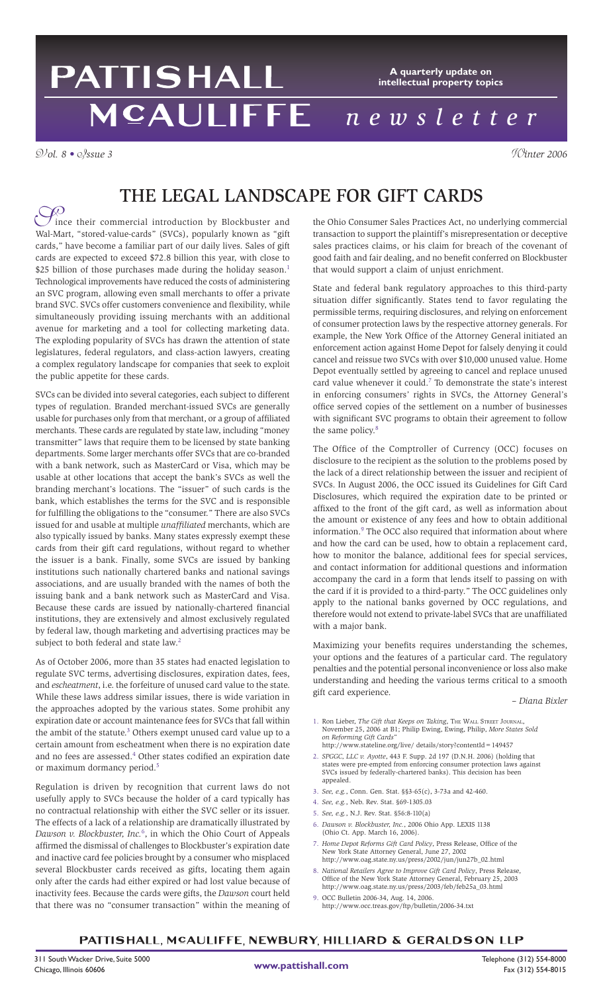## PATTISHALL **A quarterly update on intellectual property topics** MCAULIFFE *n e w s l e t t e r*

V*ol. 8 •* I*ssue 3* W*inter 2006*

# The Legal Landscape for Gift Cards

Solince their commercial introduction by Blockbuster and Wal-Mart, "stored-value-cards" (SVCs), popularly known as "gift" ince their commercial introduction by Blockbuster and cards," have become a familiar part of our daily lives. Sales of gift cards are expected to exceed \$72.8 billion this year, with close to \$25 billion of those purchases made during the holiday season.<sup>1</sup> Technological improvements have reduced the costs of administering an SVC program, allowing even small merchants to offer a private brand SVC. SVCs offer customers convenience and flexibility, while simultaneously providing issuing merchants with an additional avenue for marketing and a tool for collecting marketing data. The exploding popularity of SVCs has drawn the attention of state legislatures, federal regulators, and class-action lawyers, creating a complex regulatory landscape for companies that seek to exploit the public appetite for these cards.

SVCs can be divided into several categories, each subject to different types of regulation. Branded merchant-issued SVCs are generally usable for purchases only from that merchant, or a group of affiliated merchants. These cards are regulated by state law, including "money transmitter" laws that require them to be licensed by state banking departments. Some larger merchants offer SVCs that are co-branded with a bank network, such as MasterCard or Visa, which may be usable at other locations that accept the bank's SVCs as well the branding merchant's locations. The "issuer" of such cards is the bank, which establishes the terms for the SVC and is responsible for fulfilling the obligations to the "consumer." There are also SVCs issued for and usable at multiple *unaffiliated* merchants, which are also typically issued by banks. Many states expressly exempt these cards from their gift card regulations, without regard to whether the issuer is a bank. Finally, some SVCs are issued by banking institutions such nationally chartered banks and national savings associations, and are usually branded with the names of both the issuing bank and a bank network such as MasterCard and Visa. Because these cards are issued by nationally-chartered financial institutions, they are extensively and almost exclusively regulated by federal law, though marketing and advertising practices may be subject to both federal and state law.<sup>2</sup>

As of October 2006, more than 35 states had enacted legislation to regulate SVC terms, advertising disclosures, expiration dates, fees, and *escheatment*, i.e. the forfeiture of unused card value to the state. While these laws address similar issues, there is wide variation in the approaches adopted by the various states. Some prohibit any expiration date or account maintenance fees for SVCs that fall within the ambit of the statute. $3$  Others exempt unused card value up to a certain amount from escheatment when there is no expiration date and no fees are assessed.<sup>4</sup> Other states codified an expiration date or maximum dormancy period.5

Regulation is driven by recognition that current laws do not usefully apply to SVCs because the holder of a card typically has no contractual relationship with either the SVC seller or its issuer. The effects of a lack of a relationship are dramatically illustrated by *Dawson v. Blockbuster, Inc.*<sup>6</sup> , in which the Ohio Court of Appeals affirmed the dismissal of challenges to Blockbuster's expiration date and inactive card fee policies brought by a consumer who misplaced several Blockbuster cards received as gifts, locating them again only after the cards had either expired or had lost value because of inactivity fees. Because the cards were gifts, the *Dawson* court held that there was no "consumer transaction" within the meaning of the Ohio Consumer Sales Practices Act, no underlying commercial transaction to support the plaintiff's misrepresentation or deceptive sales practices claims, or his claim for breach of the covenant of good faith and fair dealing, and no benefit conferred on Blockbuster that would support a claim of unjust enrichment.

State and federal bank regulatory approaches to this third-party situation differ significantly. States tend to favor regulating the permissible terms, requiring disclosures, and relying on enforcement of consumer protection laws by the respective attorney generals. For example, the New York Office of the Attorney General initiated an enforcement action against Home Depot for falsely denying it could cancel and reissue two SVCs with over \$10,000 unused value. Home Depot eventually settled by agreeing to cancel and replace unused card value whenever it could.<sup>7</sup> To demonstrate the state's interest in enforcing consumers' rights in SVCs, the Attorney General's office served copies of the settlement on a number of businesses with significant SVC programs to obtain their agreement to follow the same policy.<sup>8</sup>

The Office of the Comptroller of Currency (OCC) focuses on disclosure to the recipient as the solution to the problems posed by the lack of a direct relationship between the issuer and recipient of SVCs. In August 2006, the OCC issued its Guidelines for Gift Card Disclosures, which required the expiration date to be printed or affixed to the front of the gift card, as well as information about the amount or existence of any fees and how to obtain additional information.<sup>9</sup> The OCC also required that information about where and how the card can be used, how to obtain a replacement card, how to monitor the balance, additional fees for special services, and contact information for additional questions and information accompany the card in a form that lends itself to passing on with the card if it is provided to a third-party." The OCC guidelines only apply to the national banks governed by OCC regulations, and therefore would not extend to private-label SVCs that are unaffiliated with a major bank.

Maximizing your benefits requires understanding the schemes, your options and the features of a particular card. The regulatory penalties and the potential personal inconvenience or loss also make understanding and heeding the various terms critical to a smooth gift card experience.

– *Diana Bixler*

- 1. Ron Lieber, *The Gift that Keeps on Taking*, The Wall Street Journal, November 25, 2006 at B1; Philip Ewing, Ewing, Philip, *More States Sold on Reforming Gift Cards*" http://www.stateline.org/live/ details/story?contentId=149457
- 2. *SPGGC, LLC v. Ayotte*, 443 F. Supp. 2d 197 (D.N.H. 2006) (holding that states were pre-empted from enforcing consumer protection laws against SVCs issued by federally-chartered banks). This decision has been appealed.
- 3. *See, e.g.*, Conn. Gen. Stat. §§3-65(c), 3-73a and 42-460.
- 4. *See, e.g.*, Neb. Rev. Stat. §69-1305.03
- 5. *See, e.g.*, N.J. Rev. Stat. §56:8-110(a)
- 6. *Dawson v. Blockbuster, Inc.*, 2006 Ohio App. LEXIS 1138 (Ohio Ct. App. March 16, 2006).
- 7. *Home Depot Reforms Gift Card Policy*, Press Release, Office of the New York State Attorney General, June 27, 2002 http://www.oag.state.ny.us/press/2002/jun/jun27b\_02.html
- 8. *National Retailers Agree to Improve Gift Card Policy*, Press Release, Office of the New York State Attorney General, February 25, 2003 http://www.oag.state.ny.us/press/2003/feb/feb25a\_03.html
- 9. OCC Bulletin 2006-34, Aug. 14, 2006. http://www.occ.treas.gov/ftp/bulletin/2006-34.txt

### PATTISHALL, MCAULIFFE, NEWBURY, HILLIARD & GERALDSON LLP